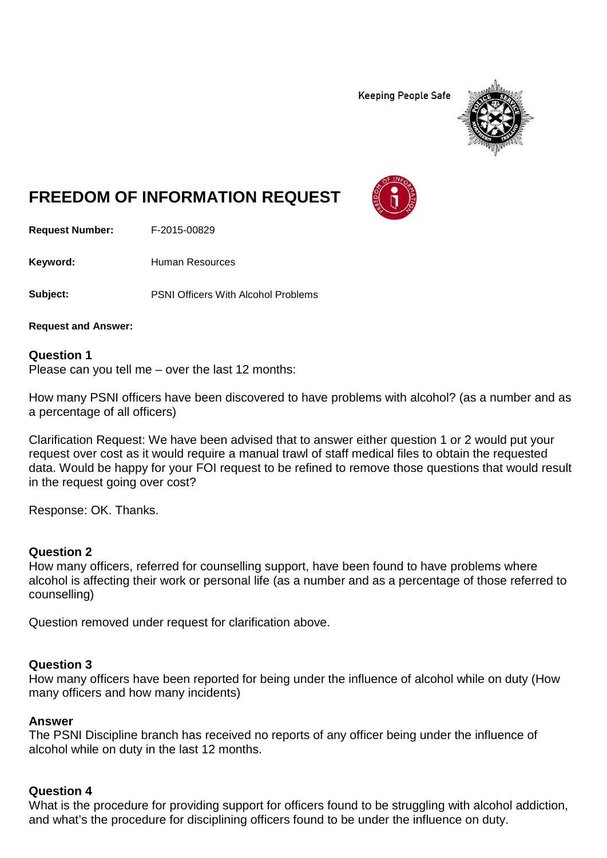**Keeping People Safe** 



# **FREEDOM OF INFORMATION REQUEST**

**Request Number:** F-2015-00829

Keyword: Human Resources

**Subject:** PSNI Officers With Alcohol Problems

**Request and Answer:**

#### **Question 1**

Please can you tell me – over the last 12 months:

How many PSNI officers have been discovered to have problems with alcohol? (as a number and as a percentage of all officers)

Clarification Request: We have been advised that to answer either question 1 or 2 would put your request over cost as it would require a manual trawl of staff medical files to obtain the requested data. Would be happy for your FOI request to be refined to remove those questions that would result in the request going over cost?

Response: OK. Thanks.

## **Question 2**

How many officers, referred for counselling support, have been found to have problems where alcohol is affecting their work or personal life (as a number and as a percentage of those referred to counselling)

Question removed under request for clarification above.

#### **Question 3**

How many officers have been reported for being under the influence of alcohol while on duty (How many officers and how many incidents)

#### **Answer**

The PSNI Discipline branch has received no reports of any officer being under the influence of alcohol while on duty in the last 12 months.

## **Question 4**

What is the procedure for providing support for officers found to be struggling with alcohol addiction, and what's the procedure for disciplining officers found to be under the influence on duty.